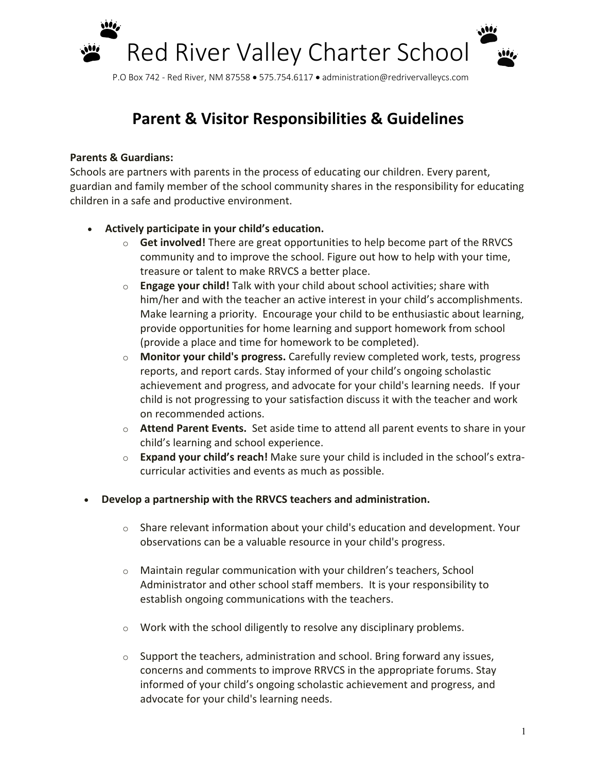

P.O Box 742 - Red River, NM 87558 • 575.754.6117 • administration@redrivervalleycs.com

# **Parent & Visitor Responsibilities & Guidelines**

### **Parents & Guardians:**

Schools are partners with parents in the process of educating our children. Every parent, guardian and family member of the school community shares in the responsibility for educating children in a safe and productive environment.

## • **Actively participate in your child's education.**

- o **Get involved!** There are great opportunities to help become part of the RRVCS community and to improve the school. Figure out how to help with your time, treasure or talent to make RRVCS a better place.
- o **Engage your child!** Talk with your child about school activities; share with him/her and with the teacher an active interest in your child's accomplishments. Make learning a priority. Encourage your child to be enthusiastic about learning, provide opportunities for home learning and support homework from school (provide a place and time for homework to be completed).
- o **Monitor your child's progress.** Carefully review completed work, tests, progress reports, and report cards. Stay informed of your child's ongoing scholastic achievement and progress, and advocate for your child's learning needs. If your child is not progressing to your satisfaction discuss it with the teacher and work on recommended actions.
- o **Attend Parent Events.** Set aside time to attend all parent events to share in your child's learning and school experience.
- o **Expand your child's reach!** Make sure your child is included in the school's extracurricular activities and events as much as possible.
- **Develop a partnership with the RRVCS teachers and administration.** 
	- $\circ$  Share relevant information about your child's education and development. Your observations can be a valuable resource in your child's progress.
	- o Maintain regular communication with your children's teachers, School Administrator and other school staff members. It is your responsibility to establish ongoing communications with the teachers.
	- o Work with the school diligently to resolve any disciplinary problems.
	- $\circ$  Support the teachers, administration and school. Bring forward any issues, concerns and comments to improve RRVCS in the appropriate forums. Stay informed of your child's ongoing scholastic achievement and progress, and advocate for your child's learning needs.